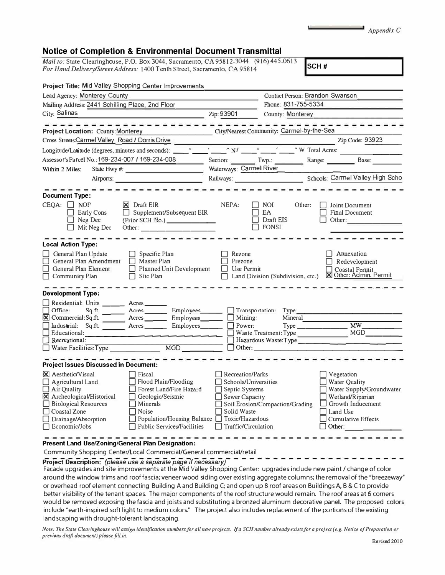*Appendix C* 

## **Notice of Completion & Environmental Document Transmittal**

*Mail to: State Clearinghouse, P.O. Box 3044, Sacramento, CA 95812-3044 (916) 445-0613 For Hand Delivery/Street Address:* 1400 Tenth Street, Sacramento, CA 95814 **SCH #** 

| Project Title: Mid Valley Shopping Center Improvements                                                                                                                                                                                                                                                                                                                                       |                                                                                                    |                                                                        |                                                                                                                                                  |
|----------------------------------------------------------------------------------------------------------------------------------------------------------------------------------------------------------------------------------------------------------------------------------------------------------------------------------------------------------------------------------------------|----------------------------------------------------------------------------------------------------|------------------------------------------------------------------------|--------------------------------------------------------------------------------------------------------------------------------------------------|
| Lead Agency: Monterey County                                                                                                                                                                                                                                                                                                                                                                 |                                                                                                    | Contact Person: Brandon Swanson                                        |                                                                                                                                                  |
| Mailing Address: 2441 Schilling Place, 2nd Floor                                                                                                                                                                                                                                                                                                                                             |                                                                                                    | Phone: 831-755-5334                                                    |                                                                                                                                                  |
| City: Salinas<br>the control of the control of the                                                                                                                                                                                                                                                                                                                                           | Zip: 93901                                                                                         | <b>County: Monterey</b>                                                |                                                                                                                                                  |
| - - - - - - -<br><b>Project Location: County: Monterey</b>                                                                                                                                                                                                                                                                                                                                   |                                                                                                    | City/Nearest Community: Carmel-by-the-Sea                              |                                                                                                                                                  |
| Cross Streets:Carmel Valley Road / Dorris Drive                                                                                                                                                                                                                                                                                                                                              |                                                                                                    |                                                                        | Zip Code: 93923                                                                                                                                  |
| Longitude/Latitude (degrees, minutes and seconds): ____                                                                                                                                                                                                                                                                                                                                      |                                                                                                    | $N I$ $\sim$ $\sim$                                                    | "W Total Acres:                                                                                                                                  |
| Assessor's Parcel No.: 169-234-007 / 169-234-008                                                                                                                                                                                                                                                                                                                                             |                                                                                                    | Section: Twp.:                                                         | Range: Base:                                                                                                                                     |
| Within 2 Miles:<br>State Hwy #:                                                                                                                                                                                                                                                                                                                                                              | Waterways: Carmel River                                                                            |                                                                        |                                                                                                                                                  |
| Airports:                                                                                                                                                                                                                                                                                                                                                                                    |                                                                                                    |                                                                        | Railways: Schools: Carmel Valley High Schools:                                                                                                   |
| <b>Document Type:</b><br>$CEQA: \Box NOT$<br>$\vert \mathsf{X} \vert$ Draft EIR<br>Supplement/Subsequent EIR<br>Early Cons<br>$\Box$ Neg Dec<br>(Prior SCH No.)<br>Mit Neg Dec                                                                                                                                                                                                               | NEPA:                                                                                              | $\blacksquare$ NOI<br>Other:<br>EA<br>$\Box$ Draft EIS<br>$\Box$ FONSI | Joint Document<br><b>Final Document</b><br>$\Box$ Other:                                                                                         |
| <b>Local Action Type:</b><br>General Plan Update<br>Specific Plan<br>General Plan Amendment<br>П.<br>Master Plan<br>Planned Unit Development<br>General Plan Element<br>$\Box$ Community Plan<br>$\Box$ Site Plan<br><b>Development Type:</b>                                                                                                                                                | Rezone<br>Prezone<br>$\Box$ Use Permit                                                             | Land Division (Subdivision, ctc.)                                      | Annexation<br>Redevelopment<br>Coastal Permit<br>Other: Admin. Permit                                                                            |
| Residential: Units _____ Acres ___<br>Sq.ft. _______ Acres _______ Employees ______ _ Transportation:<br>Office:<br><b>X</b> Commercial:Sq.ft. Acres Employees Mining:<br>Industrial: Sq.ft. Acres Employees<br>$\Box$ Educational:<br>Recreational:                                                                                                                                         | $\Box$ Power:                                                                                      | Type<br>Mineral<br>Hazardous Waste:Type<br>$\Box$ Other:               | Type MW_<br>Waste Treatment: Type MGD                                                                                                            |
| <b>Project Issues Discussed in Document:</b><br><b>X</b> Aesthetic/Visual<br>Fiscal<br>Flood Plain/Flooding<br>Agricultural Land<br>Forest Land/Fire Hazard<br>$\Box$ Air Quality<br>Geologic/Seismic<br>X Archeological/Historical<br><b>Biological Resources</b><br>Minerals<br>Coastal Zone<br><b>Noise</b><br>Population/Housing Balance □ Toxic/Hazardous<br>$\Box$ Drainage/Absorption | Recreation/Parks<br>Schools/Universities<br>Septic Systems<br><b>Sewer Capacity</b><br>Solid Waste | Soil Erosion/Compaction/Grading                                        | $\vee$ Vegetation<br>Water Quality<br>Water Supply/Groundwater<br>Wetland/Riparian<br>Growth Inducement<br>Land Use<br><b>Cumulative Effects</b> |
| $\Box$ Economic/Jobs<br><b>Public Services/Facilities</b>                                                                                                                                                                                                                                                                                                                                    | $\Box$ Traffic/Circulation                                                                         |                                                                        | Other:                                                                                                                                           |

## **Present Land Use/Zoning/General Plan Designation:**

Community Shopping Center/local Commercial/General commercial/retail

## **Project Description:** *(please use a separate page if necessary)*

Facade upgrades and site improvements at the Mid Valley Shopping Center: upgrades include new paint / change of color around the window trims and roof fascia; veneer wood siding over existing aggregate columns; the removal of the "breezeway" or overhead roof element connecting Building A and Building C; and open up 8 roof areas on Buildings A, B & C to provide better visibility of the tenant spaces. The major components of the roof structure would remain. The roof areas at 6 corners would be removed exposing the fascia and joists and substituting a bronzed aluminum decorative panel. The proposed colors include "earth-inspired soft light to medium colors." The project also includes replacement of the portions of the existing landscaping with drought-tolerant landscaping.

*Note: The State Clearinghouse will assign identification numbers for all new projects. If a SCH number already exists for a project (e.g. Notice of Preparation or previous draft documenr) please fill in.*